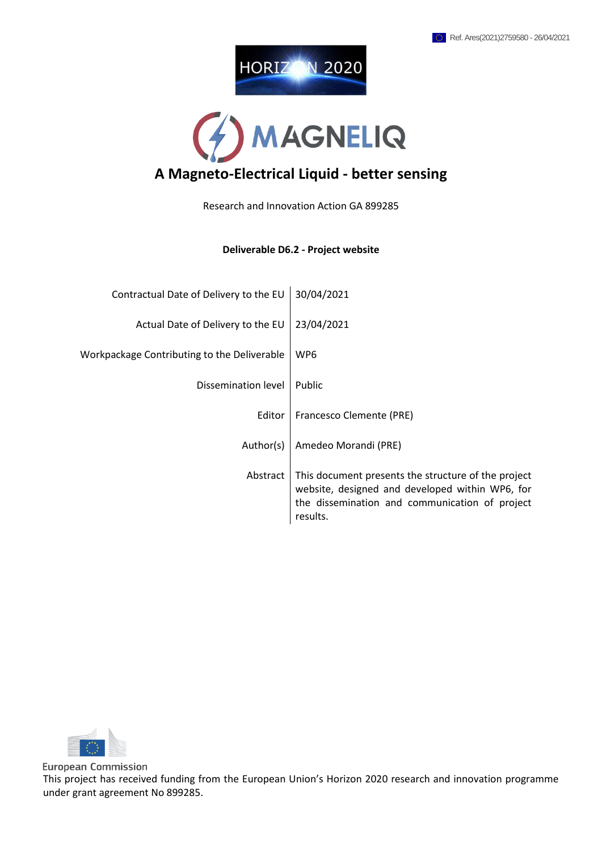



Research and Innovation Action GA 899285

#### **Deliverable D6.2 - Project website**

| Contractual Date of Delivery to the EU      | 30/04/2021                                                                                                                                                           |
|---------------------------------------------|----------------------------------------------------------------------------------------------------------------------------------------------------------------------|
| Actual Date of Delivery to the EU           | 23/04/2021                                                                                                                                                           |
| Workpackage Contributing to the Deliverable | WP <sub>6</sub>                                                                                                                                                      |
| Dissemination level                         | Public                                                                                                                                                               |
| Editor                                      | Francesco Clemente (PRE)                                                                                                                                             |
| Author(s)                                   | Amedeo Morandi (PRE)                                                                                                                                                 |
| Abstract                                    | This document presents the structure of the project<br>website, designed and developed within WP6, for<br>the dissemination and communication of project<br>results. |



**European Commission** This project has received funding from the European Union's Horizon 2020 research and innovation programme under grant agreement No 899285.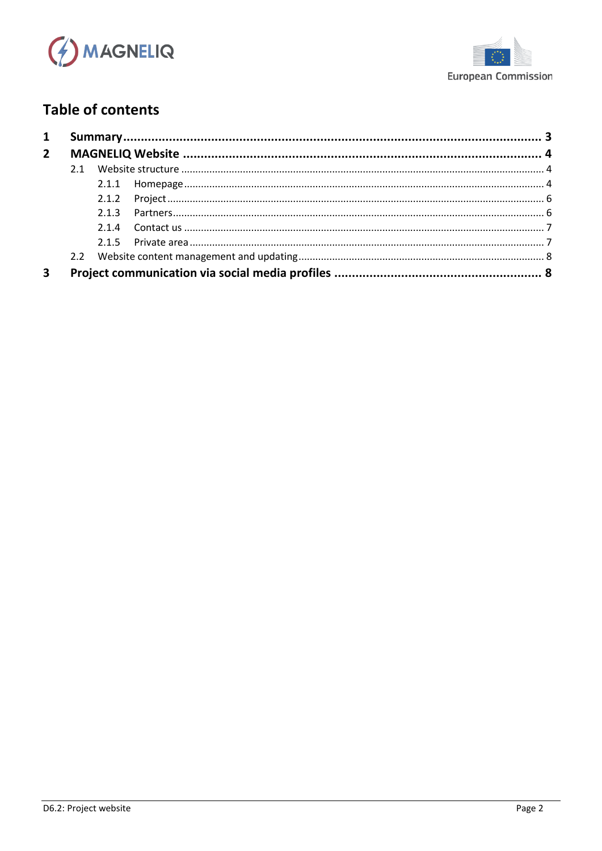



# **Table of contents**

| 2.1.3 |  |
|-------|--|
|       |  |
|       |  |
|       |  |
|       |  |
|       |  |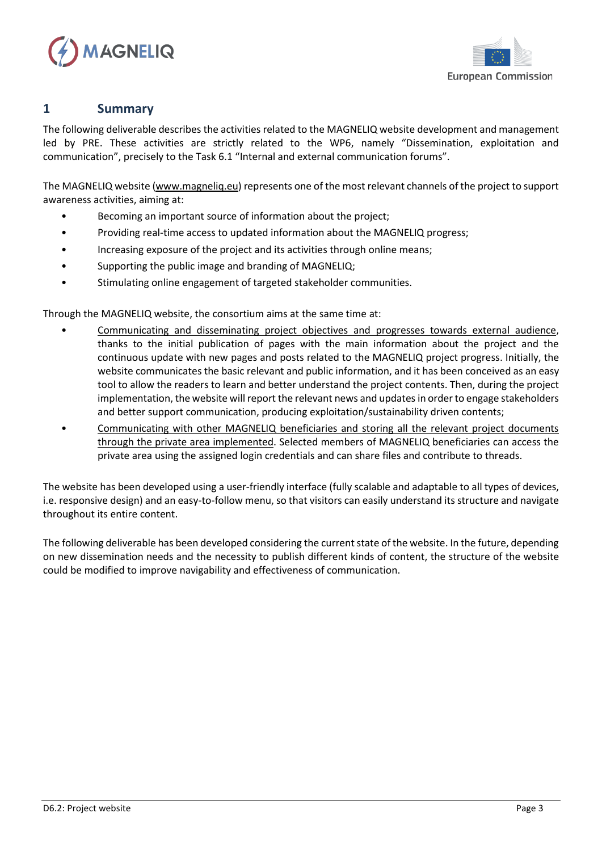



## <span id="page-2-0"></span>**1 Summary**

The following deliverable describes the activities related to the MAGNELIQ website development and management led by PRE. These activities are strictly related to the WP6, namely "Dissemination, exploitation and communication", precisely to the Task 6.1 "Internal and external communication forums".

The MAGNELIQ website [\(www.magneliq.eu\)](http://www.magneliq.eu/) represents one of the most relevant channels of the project to support awareness activities, aiming at:

- Becoming an important source of information about the project;
- Providing real-time access to updated information about the MAGNELIQ progress;
- Increasing exposure of the project and its activities through online means;
- Supporting the public image and branding of MAGNELIQ;
- Stimulating online engagement of targeted stakeholder communities.

Through the MAGNELIQ website, the consortium aims at the same time at:

- Communicating and disseminating project objectives and progresses towards external audience, thanks to the initial publication of pages with the main information about the project and the continuous update with new pages and posts related to the MAGNELIQ project progress. Initially, the website communicates the basic relevant and public information, and it has been conceived as an easy tool to allow the readers to learn and better understand the project contents. Then, during the project implementation, the website will report the relevant news and updatesin order to engage stakeholders and better support communication, producing exploitation/sustainability driven contents;
- Communicating with other MAGNELIQ beneficiaries and storing all the relevant project documents through the private area implemented. Selected members of MAGNELIQ beneficiaries can access the private area using the assigned login credentials and can share files and contribute to threads.

The website has been developed using a user-friendly interface (fully scalable and adaptable to all types of devices, i.e. responsive design) and an easy-to-follow menu, so that visitors can easily understand its structure and navigate throughout its entire content.

The following deliverable has been developed considering the current state of the website. In the future, depending on new dissemination needs and the necessity to publish different kinds of content, the structure of the website could be modified to improve navigability and effectiveness of communication.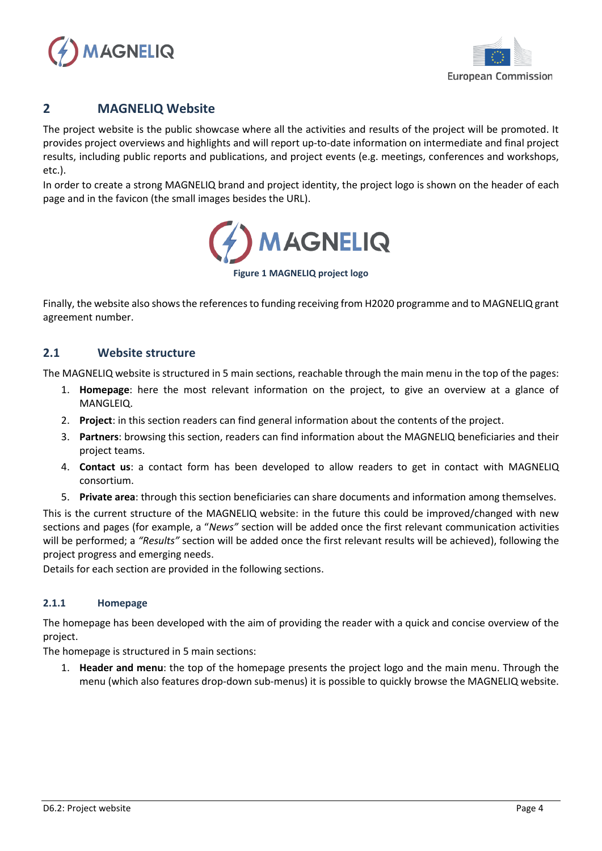



## <span id="page-3-0"></span>**2 MAGNELIQ Website**

The project website is the public showcase where all the activities and results of the project will be promoted. It provides project overviews and highlights and will report up-to-date information on intermediate and final project results, including public reports and publications, and project events (e.g. meetings, conferences and workshops, etc.).

In order to create a strong MAGNELIQ brand and project identity, the project logo is shown on the header of each page and in the favicon (the small images besides the URL).



**Figure 1 MAGNELIQ project logo**

Finally, the website also showsthe references to funding receiving from H2020 programme and to MAGNELIQ grant agreement number.

## <span id="page-3-1"></span>**2.1 Website structure**

The MAGNELIQ website is structured in 5 main sections, reachable through the main menu in the top of the pages:

- 1. **Homepage**: here the most relevant information on the project, to give an overview at a glance of MANGLEIQ.
- 2. **Project**: in this section readers can find general information about the contents of the project.
- 3. **Partners**: browsing this section, readers can find information about the MAGNELIQ beneficiaries and their project teams.
- 4. **Contact us**: a contact form has been developed to allow readers to get in contact with MAGNELIQ consortium.
- 5. **Private area**: through this section beneficiaries can share documents and information among themselves.

This is the current structure of the MAGNELIQ website: in the future this could be improved/changed with new sections and pages (for example, a "*News"* section will be added once the first relevant communication activities will be performed; a *"Results"* section will be added once the first relevant results will be achieved), following the project progress and emerging needs.

Details for each section are provided in the following sections.

### <span id="page-3-2"></span>**2.1.1 Homepage**

The homepage has been developed with the aim of providing the reader with a quick and concise overview of the project.

The homepage is structured in 5 main sections:

1. **Header and menu**: the top of the homepage presents the project logo and the main menu. Through the menu (which also features drop-down sub-menus) it is possible to quickly browse the MAGNELIQ website.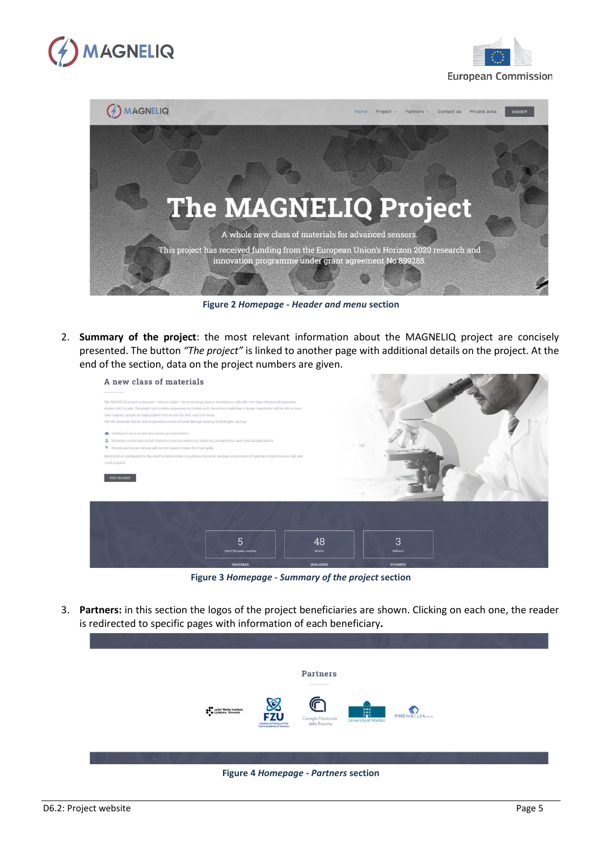





**Figure 2** *Homepage* **-** *Header and menu* **section**

2. **Summary of the project**: the most relevant information about the MAGNELIQ project are concisely presented. The button *"The project"* is linked to another page with additional details on the project. At the end of the section, data on the project numbers are given.



**Figure 3** *Homepage* **-** *Summary of the project* **section**

3. **Partners:** in this section the logos of the project beneficiaries are shown. Clicking on each one, the reader is redirected to specific pages with information of each beneficiary**.**



#### **Figure 4** *Homepage - Partners* **section**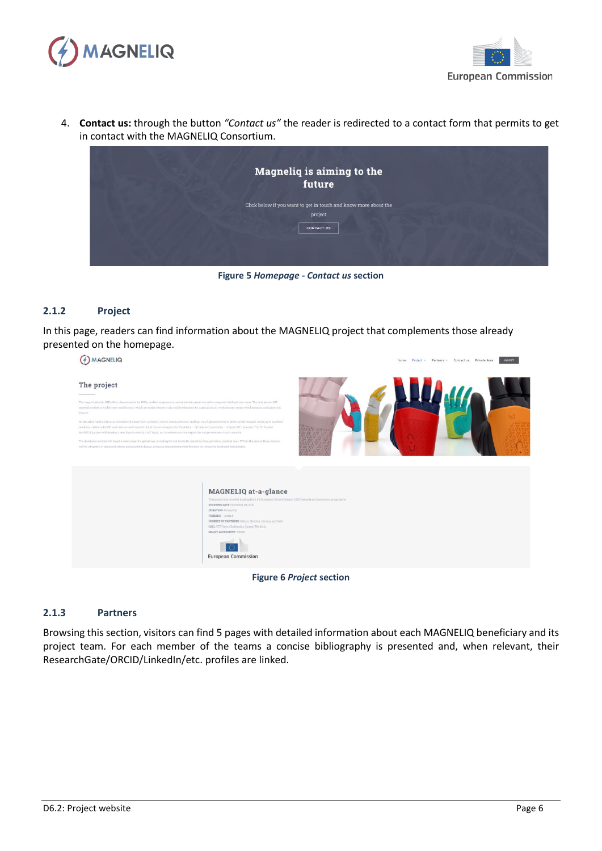



4. **Contact us:** through the button *"Contact us"* the reader is redirected to a contact form that permits to get in contact with the MAGNELIQ Consortium.



**Figure 5** *Homepage* **-** *Contact us* **section**

#### <span id="page-5-0"></span>**2.1.2 Project**

In this page, readers can find information about the MAGNELIQ project that complements those already presented on the homepage.



**Figure 6** *Project* **section**

#### <span id="page-5-1"></span>**2.1.3 Partners**

Browsing this section, visitors can find 5 pages with detailed information about each MAGNELIQ beneficiary and its project team. For each member of the teams a concise bibliography is presented and, when relevant, their ResearchGate/ORCID/LinkedIn/etc. profiles are linked.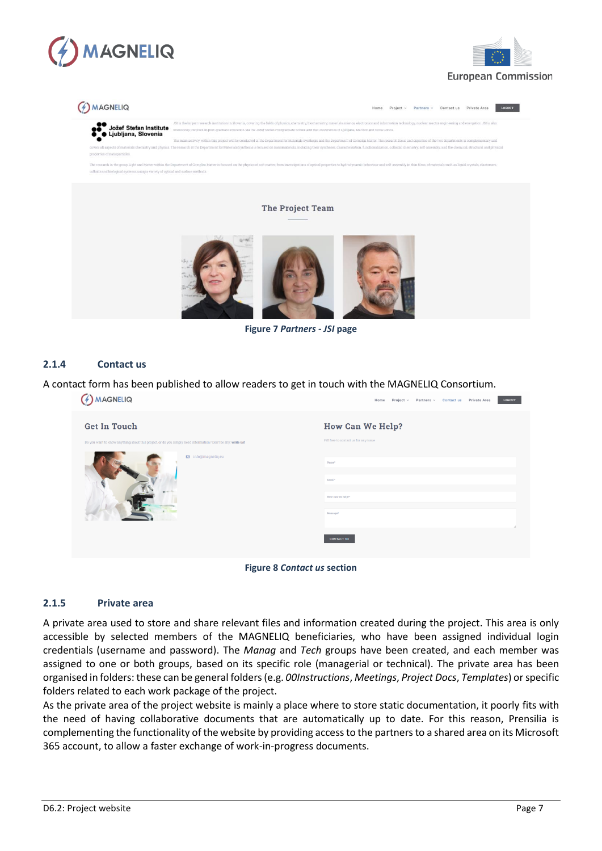





**Figure 7** *Partners - JSI* **page**

#### <span id="page-6-0"></span>**2.1.4 Contact us**

A contact form has been published to allow readers to get in touch with the MAGNELIQ Consortium.

| MAGNELIQ                                                                                                                           | LOGOUT<br>Project v<br>Partners v Contact us<br>Private Area<br>Home |
|------------------------------------------------------------------------------------------------------------------------------------|----------------------------------------------------------------------|
| <b>Get In Touch</b><br>Do you want to know anything about this project, or do you simply need information? Don't be shy: write us! | <b>How Can We Help?</b><br>Fill free to contact us for any issue     |
| <b>⊠</b> info@magneliq.eu                                                                                                          | Name*<br>Email*<br>How can we help?*                                 |
|                                                                                                                                    | Message*<br><b>CONTACT US</b>                                        |

**Figure 8** *Contact us* **section**

#### <span id="page-6-1"></span>**2.1.5 Private area**

A private area used to store and share relevant files and information created during the project. This area is only accessible by selected members of the MAGNELIQ beneficiaries, who have been assigned individual login credentials (username and password). The *Manag* and *Tech* groups have been created, and each member was assigned to one or both groups, based on its specific role (managerial or technical). The private area has been organised in folders: these can be general folders (e.g. *00Instructions*, *Meetings*, *Project Docs*, *Templates*) or specific folders related to each work package of the project.

As the private area of the project website is mainly a place where to store static documentation, it poorly fits with the need of having collaborative documents that are automatically up to date. For this reason, Prensilia is complementing the functionality of the website by providing access to the partners to a shared area on its Microsoft 365 account, to allow a faster exchange of work-in-progress documents.